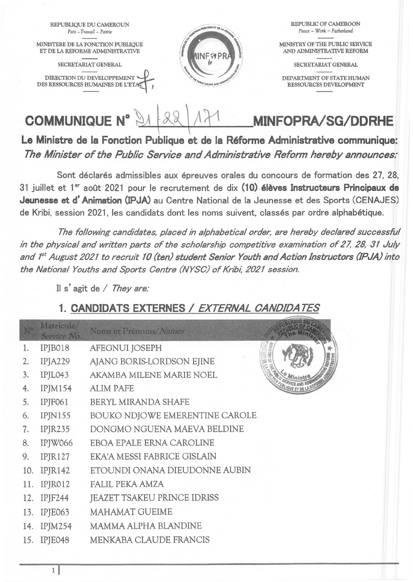

Le Ministre de la Fonction Publique et de la Réforme Administrative communique: *The Minister of the Public Service and Administrative Reform herebyannounces:* 

Sont déclarés admissibles aux épreuves orales du concours de formation des 27, 28, 31 juillet et 1<sup>er</sup> août 2021 pour le recrutement de dix (10) élèves Instructeurs Principaux de Jeunesse et d'Animation (IPJA) au Centre National de la Jeunesse et des Sports (CENAJES) de Kribi, session 2021, les candidats dont les noms suivent, classés par ordre alphabétique.

*The following candidates, placed in a/phabetical order, are hereby declared successful in the physical and written parts of the scholarship competitive examination of* 27, 28, 31 *July and t" August 2021 to recruit 10 (ten) student Senior Youth and Action Instructors (IPJA) into the National Youths and Sports Centre (NYSC) of Kribi, 2021 session.* 

Il s'agit de / *They are:* 

## 1. CANDIDATS EXTERNES / EXTERNAL CANDIDATES

| Matricule/<br>Service No. | Noms et Prénoms/Names                                           |  |
|---------------------------|-----------------------------------------------------------------|--|
| IPJB018                   | AFEGNUI JOSEPH                                                  |  |
| IPJA229                   | AJANG BORIS-LORDSON EJINE                                       |  |
| IPJL043                   | AKAMBA MILENE MARIE NOEL                                        |  |
| <b>IPJM154</b>            | <b>ALIM PAFE</b>                                                |  |
| IPJF061                   | BERYL MIRANDA SHAFE                                             |  |
| IPIN155                   | BOUKO NDJOWE EMERENTINE CAROLE                                  |  |
| $IP$ J $R235$             | DONGMO NGUENA MAEVA BELDINE                                     |  |
| IPJW066                   | EBOA EPALE ERNA CAROLINE                                        |  |
| IPJR127                   | EKA'A MESSI FABRICE GISLAIN                                     |  |
| IPIR142                   | ETOUNDI ONANA DIEUDONNE AUBIN                                   |  |
|                           | <b>FALIL PEKA AMZA</b>                                          |  |
|                           | JEAZET TSAKEU PRINCE IDRISS                                     |  |
|                           | MAHAMAT GUEIME                                                  |  |
|                           | MAMMA ALPHA BLANDINE                                            |  |
| IPJE048                   | MENKABA CLAUDE FRANCIS                                          |  |
|                           | 10.<br>11. IPJR012<br>12. IPJF244<br>13. IPJE063<br>14. IPJM254 |  |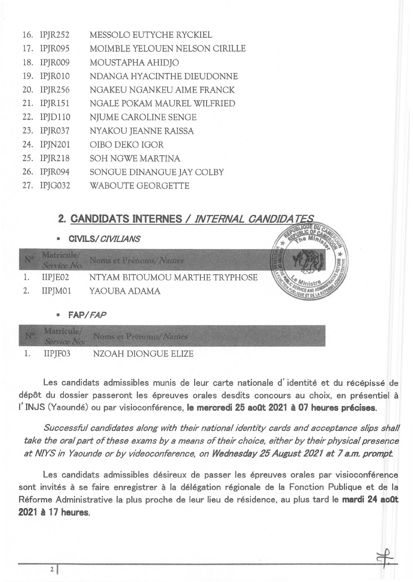|     | 16. IPJR252 | MESSOLO EUTYCHE RYCKIEL        |  |
|-----|-------------|--------------------------------|--|
|     | 17. IPJR095 | MOIMBLE YELOUEN NELSON CIRILLE |  |
|     | 18. IPJR009 | MOUSTAPHA AHIDJO               |  |
|     | 19. IPJR010 | NDANGA HYACINTHE DIEUDONNE     |  |
|     | 20. IPJR256 | NGAKEU NGANKEU AIME FRANCK     |  |
|     | 21. IPJR151 | NGALE POKAM MAUREL WILFRIED    |  |
|     | 22. IPJD110 | NJUME CAROLINE SENGE           |  |
|     | 23. IPJR037 | NYAKOU JEANNE RAISSA           |  |
|     | 24. IPJN201 | OIBO DEKO IGOR                 |  |
| 25. | IPJR218     | SOH NGWE MARTINA               |  |
| 26. | IPJR094     | SONGUE DINANGUE JAY COLBY      |  |
|     | 27. IPJG032 | <b>WABOUTE GEORGETTE</b>       |  |

## 2. CANDIDATS INTERNES / INTERNAL CANDIDA

• CIVILS/ *CIVlLlANS* 

| Matricule/<br>Service No. | Noms et Prénoms/Names          |  |
|---------------------------|--------------------------------|--|
| IIPJE02                   | NTYAM BITOUMOU MARTHE TRYPHOSE |  |
| IIPJM01                   | YAOUBA ADAMA                   |  |
| <b>FAP/FAP</b>            |                                |  |

| Service No. | Matricule/ Noms et Prénoms/Names |
|-------------|----------------------------------|
| IIPJF03     | NZOAH DIONGUE ELIZE              |

Les candidats admissibles munis de leur carte nationale d'identité et du récépissé de dépôt du dossier passeront les épreuves orales desdits concours au choix, en présentiel à l'INJS (Yaoundé) ou par visioconférence, le mercredi 25 août 2021 à 07 heures précises.

*Successful candidates along with their national identity cards and acceptance slips sha// take the oral part of these exams bya means of their choice, either by their physice! presence at NIYS in Yaounde or by videoconference, on Wednesday* 25 *August 2021 at* 7 *a.m. prompt* 

Les candidats admissibles désireux de passer les épreuves orales par visioconférence sont invités à se faire enregistrer à la délégation régionale de la Fonction Publique et de la Réforme Administrative la plus proche de leur lieu de résidence, au plus tard le mardi 24 août 2021 à 17 heures.